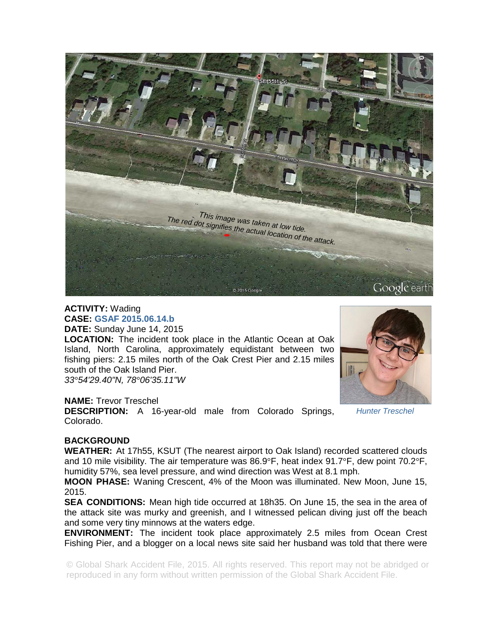

# **ACTIVITY:** Wading **CASE: GSAF 2015.06.14.b DATE:** Sunday June 14, 2015

**LOCATION:** The incident took place in the Atlantic Ocean at Oak Island, North Carolina, approximately equidistant between two fishing piers: 2.15 miles north of the Oak Crest Pier and 2.15 miles south of the Oak Island Pier.

*33°54'29.40"N, 78°06'35.11"W* 

## **NAME:** Trevor Treschel

**DESCRIPTION:** A 16-year-old male from Colorado Springs, Colorado.

#### *Hunter Treschel*

## **BACKGROUND**

**WEATHER:** At 17h55, KSUT (The nearest airport to Oak Island) recorded scattered clouds and 10 mile visibility. The air temperature was 86.9°F, heat index 91.7°F, dew point 70.2°F, humidity 57%, sea level pressure, and wind direction was West at 8.1 mph.

**MOON PHASE:** Waning Crescent, 4% of the Moon was illuminated. New Moon, June 15, 2015.

**SEA CONDITIONS:** Mean high tide occurred at 18h35. On June 15, the sea in the area of the attack site was murky and greenish, and I witnessed pelican diving just off the beach and some very tiny minnows at the waters edge.

**ENVIRONMENT:** The incident took place approximately 2.5 miles from Ocean Crest Fishing Pier, and a blogger on a local news site said her husband was told that there were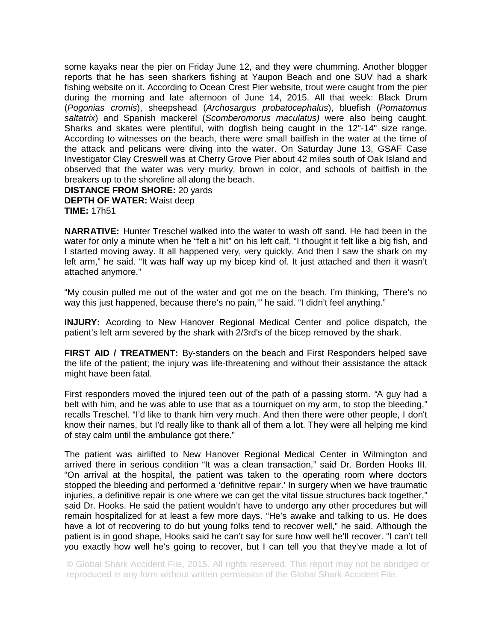some kayaks near the pier on Friday June 12, and they were chumming. Another blogger reports that he has seen sharkers fishing at Yaupon Beach and one SUV had a shark fishing website on it. According to Ocean Crest Pier website, trout were caught from the pier during the morning and late afternoon of June 14, 2015. All that week: Black Drum (*Pogonias cromis*), sheepshead (*Archosargus probatocephalus*), bluefish (*Pomatomus saltatrix*) and Spanish mackerel (*Scomberomorus maculatus)* were also being caught. Sharks and skates were plentiful, with dogfish being caught in the 12"-14" size range. According to witnesses on the beach, there were small baitfish in the water at the time of the attack and pelicans were diving into the water. On Saturday June 13, GSAF Case Investigator Clay Creswell was at Cherry Grove Pier about 42 miles south of Oak Island and observed that the water was very murky, brown in color, and schools of baitfish in the breakers up to the shoreline all along the beach. **DISTANCE FROM SHORE:** 20 yards

**DEPTH OF WATER:** Waist deep **TIME:** 17h51

**NARRATIVE:** Hunter Treschel walked into the water to wash off sand. He had been in the water for only a minute when he "felt a hit" on his left calf. "I thought it felt like a big fish, and I started moving away. It all happened very, very quickly. And then I saw the shark on my left arm," he said. "It was half way up my bicep kind of. It just attached and then it wasn't attached anymore."

"My cousin pulled me out of the water and got me on the beach. I'm thinking, 'There's no way this just happened, because there's no pain,'" he said. "I didn't feel anything."

**INJURY:** Acording to New Hanover Regional Medical Center and police dispatch, the patient's left arm severed by the shark with 2/3rd's of the bicep removed by the shark.

**FIRST AID / TREATMENT:** By-standers on the beach and First Responders helped save the life of the patient; the injury was life-threatening and without their assistance the attack might have been fatal.

First responders moved the injured teen out of the path of a passing storm. *"*A guy had a belt with him, and he was able to use that as a tourniquet on my arm, to stop the bleeding," recalls Treschel. "I'd like to thank him very much. And then there were other people, I don't know their names, but I'd really like to thank all of them a lot. They were all helping me kind of stay calm until the ambulance got there."

The patient was airlifted to New Hanover Regional Medical Center in Wilmington and arrived there in serious condition "It was a clean transaction," said Dr. Borden Hooks III. "On arrival at the hospital, the patient was taken to the operating room where doctors stopped the bleeding and performed a 'definitive repair.' In surgery when we have traumatic injuries, a definitive repair is one where we can get the vital tissue structures back together," said Dr. Hooks. He said the patient wouldn't have to undergo any other procedures but will remain hospitalized for at least a few more days. "He's awake and talking to us. He does have a lot of recovering to do but young folks tend to recover well," he said. Although the patient is in good shape, Hooks said he can't say for sure how well he'll recover. "I can't tell you exactly how well he's going to recover, but I can tell you that they've made a lot of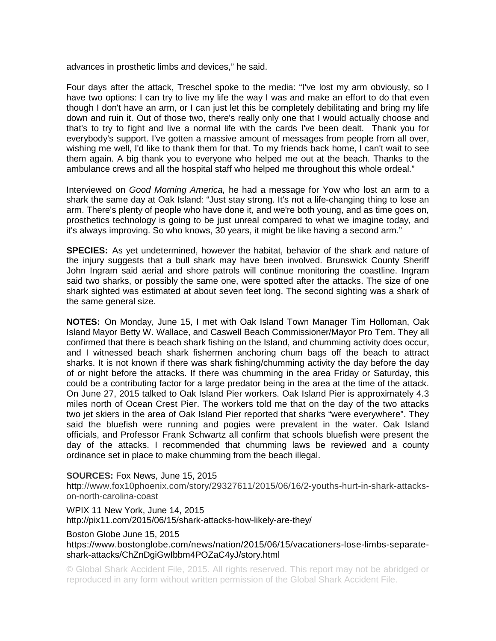advances in prosthetic limbs and devices," he said.

Four days after the attack, Treschel spoke to the media: "I've lost my arm obviously, so I have two options: I can try to live my life the way I was and make an effort to do that even though I don't have an arm, or I can just let this be completely debilitating and bring my life down and ruin it. Out of those two, there's really only one that I would actually choose and that's to try to fight and live a normal life with the cards I've been dealt. Thank you for everybody's support. I've gotten a massive amount of messages from people from all over, wishing me well, I'd like to thank them for that. To my friends back home, I can't wait to see them again. A big thank you to everyone who helped me out at the beach. Thanks to the ambulance crews and all the hospital staff who helped me throughout this whole ordeal."

Interviewed on *Good Morning America,* he had a message for Yow who lost an arm to a shark the same day at Oak Island: "Just stay strong. It's not a life-changing thing to lose an arm. There's plenty of people who have done it, and we're both young, and as time goes on, prosthetics technology is going to be just unreal compared to what we imagine today, and it's always improving. So who knows, 30 years, it might be like having a second arm."

**SPECIES:** As yet undetermined, however the habitat, behavior of the shark and nature of the injury suggests that a bull shark may have been involved. Brunswick County Sheriff John Ingram said aerial and shore patrols will continue monitoring the coastline. Ingram said two sharks, or possibly the same one, were spotted after the attacks. The size of one shark sighted was estimated at about seven feet long. The second sighting was a shark of the same general size.

**NOTES:** On Monday, June 15, I met with Oak Island Town Manager Tim Holloman, Oak Island Mayor Betty W. Wallace, and Caswell Beach Commissioner/Mayor Pro Tem. They all confirmed that there is beach shark fishing on the Island, and chumming activity does occur, and I witnessed beach shark fishermen anchoring chum bags off the beach to attract sharks. It is not known if there was shark fishing/chumming activity the day before the day of or night before the attacks. If there was chumming in the area Friday or Saturday, this could be a contributing factor for a large predator being in the area at the time of the attack. On June 27, 2015 talked to Oak Island Pier workers. Oak Island Pier is approximately 4.3 miles north of Ocean Crest Pier. The workers told me that on the day of the two attacks two jet skiers in the area of Oak Island Pier reported that sharks "were everywhere". They said the bluefish were running and pogies were prevalent in the water. Oak Island officials, and Professor Frank Schwartz all confirm that schools bluefish were present the day of the attacks. I recommended that chumming laws be reviewed and a county ordinance set in place to make chumming from the beach illegal.

## **SOURCES:** Fox News, June 15, 2015

http://www.fox10phoenix.com/story/29327611/2015/06/16/2-youths-hurt-in-shark-attackson-north-carolina-coast

WPIX 11 New York, June 14, 2015 http://pix11.com/2015/06/15/shark-attacks-how-likely-are-they/

#### Boston Globe June 15, 2015

https://www.bostonglobe.com/news/nation/2015/06/15/vacationers-lose-limbs-separateshark-attacks/ChZnDgiGwIbbm4POZaC4yJ/story.html